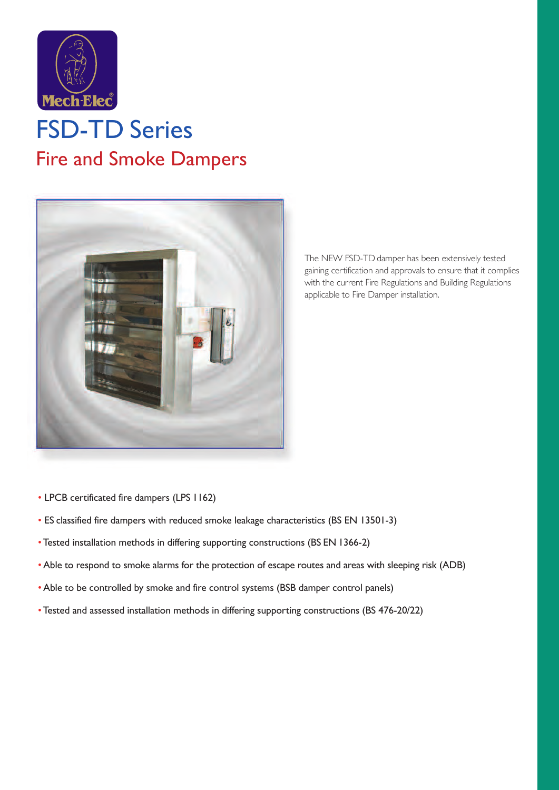

## FSD-TD Series Fire and Smoke Dampers



The NEW FSD-TD damper has been extensively tested gaining certification and approvals to ensure that it complies with the current Fire Regulations and Building Regulations applicable to Fire Damper installation.

- LPCB certificated fire dampers (LPS 1162)
- ES classified fire dampers with reduced smoke leakage characteristics (BS EN 13501-3)
- •Tested installation methods in differing supporting constructions (BS EN 1366-2)
- •Able to respond to smoke alarms for the protection of escape routes and areas with sleeping risk (ADB)
- •Able to be controlled by smoke and fire control systems (BSB damper control panels)
- •Tested and assessed installation methods in differing supporting constructions (BS 476-20/22)